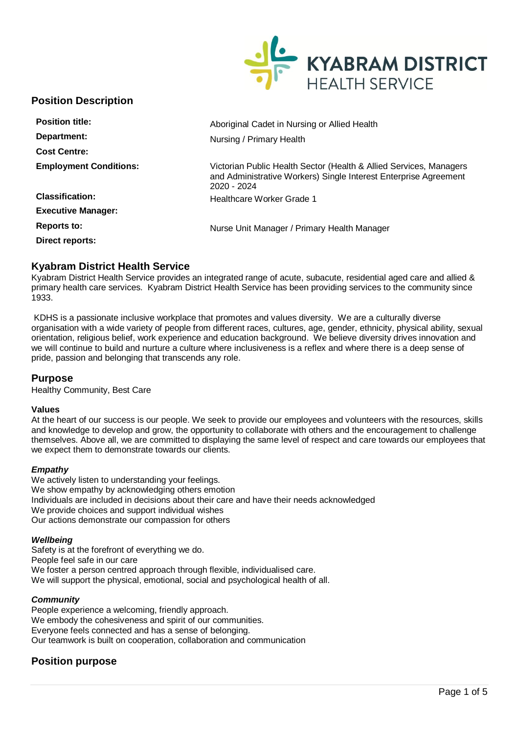

# **Position Description**

| <b>Position title:</b>        | Aboriginal Cadet in Nursing or Allied Health                                                                                                          |  |
|-------------------------------|-------------------------------------------------------------------------------------------------------------------------------------------------------|--|
| Department:                   | Nursing / Primary Health                                                                                                                              |  |
| <b>Cost Centre:</b>           |                                                                                                                                                       |  |
| <b>Employment Conditions:</b> | Victorian Public Health Sector (Health & Allied Services, Managers<br>and Administrative Workers) Single Interest Enterprise Agreement<br>2020 - 2024 |  |
| <b>Classification:</b>        | Healthcare Worker Grade 1                                                                                                                             |  |
| <b>Executive Manager:</b>     |                                                                                                                                                       |  |
| Reports to:                   | Nurse Unit Manager / Primary Health Manager                                                                                                           |  |
| Direct reports:               |                                                                                                                                                       |  |

# **Kyabram District Health Service**

Kyabram District Health Service provides an integrated range of acute, subacute, residential aged care and allied & primary health care services. Kyabram District Health Service has been providing services to the community since 1933.

KDHS is a passionate inclusive workplace that promotes and values diversity. We are a culturally diverse organisation with a wide variety of people from different races, cultures, age, gender, ethnicity, physical ability, sexual orientation, religious belief, work experience and education background. We believe diversity drives innovation and we will continue to build and nurture a culture where inclusiveness is a reflex and where there is a deep sense of pride, passion and belonging that transcends any role.

## **Purpose**

Healthy Community, Best Care

### **Values**

At the heart of our success is our people. We seek to provide our employees and volunteers with the resources, skills and knowledge to develop and grow, the opportunity to collaborate with others and the encouragement to challenge themselves. Above all, we are committed to displaying the same level of respect and care towards our employees that we expect them to demonstrate towards our clients.

### *Empathy*

We actively listen to understanding your feelings. We show empathy by acknowledging others emotion Individuals are included in decisions about their care and have their needs acknowledged We provide choices and support individual wishes Our actions demonstrate our compassion for others

### *Wellbeing*

Safety is at the forefront of everything we do. People feel safe in our care We foster a person centred approach through flexible, individualised care. We will support the physical, emotional, social and psychological health of all.

### *Community*

People experience a welcoming, friendly approach. We embody the cohesiveness and spirit of our communities. Everyone feels connected and has a sense of belonging. Our teamwork is built on cooperation, collaboration and communication

# **Position purpose**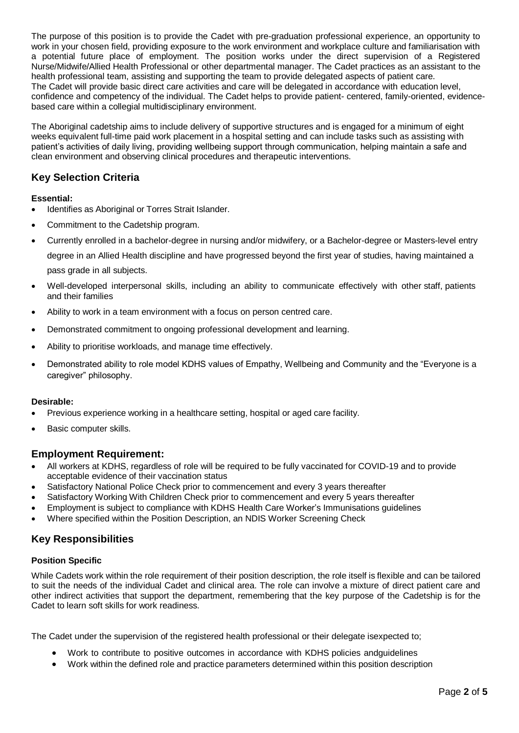The purpose of this position is to provide the Cadet with pre-graduation professional experience, an opportunity to work in your chosen field, providing exposure to the work environment and workplace culture and familiarisation with a potential future place of employment. The position works under the direct supervision of a Registered Nurse/Midwife/Allied Health Professional or other departmental manager. The Cadet practices as an assistant to the health professional team, assisting and supporting the team to provide delegated aspects of patient care. The Cadet will provide basic direct care activities and care will be delegated in accordance with education level, confidence and competency of the individual. The Cadet helps to provide patient- centered, family-oriented, evidencebased care within a collegial multidisciplinary environment.

The Aboriginal cadetship aims to include delivery of supportive structures and is engaged for a minimum of eight weeks equivalent full-time paid work placement in a hospital setting and can include tasks such as assisting with patient's activities of daily living, providing wellbeing support through communication, helping maintain a safe and clean environment and observing clinical procedures and therapeutic interventions.

# **Key Selection Criteria**

## **Essential:**

- Identifies as Aboriginal or Torres Strait Islander.
- Commitment to the Cadetship program.
- Currently enrolled in a bachelor-degree in nursing and/or midwifery, or a Bachelor-degree or Masters-level entry degree in an Allied Health discipline and have progressed beyond the first year of studies, having maintained a

pass grade in all subjects.

- Well-developed interpersonal skills, including an ability to communicate effectively with other staff, patients and their families
- Ability to work in a team environment with a focus on person centred care.
- Demonstrated commitment to ongoing professional development and learning.
- Ability to prioritise workloads, and manage time effectively.
- Demonstrated ability to role model KDHS values of Empathy, Wellbeing and Community and the "Everyone is a caregiver" philosophy.

## **Desirable:**

- Previous experience working in a healthcare setting, hospital or aged care facility.
- Basic computer skills.

# **Employment Requirement:**

- All workers at KDHS, regardless of role will be required to be fully vaccinated for COVID-19 and to provide acceptable evidence of their vaccination status
- Satisfactory National Police Check prior to commencement and every 3 years thereafter
- Satisfactory Working With Children Check prior to commencement and every 5 years thereafter
- Employment is subject to compliance with KDHS Health Care Worker's Immunisations guidelines
- Where specified within the Position Description, an NDIS Worker Screening Check

# **Key Responsibilities**

# **Position Specific**

While Cadets work within the role requirement of their position description, the role itself is flexible and can be tailored to suit the needs of the individual Cadet and clinical area. The role can involve a mixture of direct patient care and other indirect activities that support the department, remembering that the key purpose of the Cadetship is for the Cadet to learn soft skills for work readiness.

The Cadet under the supervision of the registered health professional or their delegate isexpected to;

- Work to contribute to positive outcomes in accordance with KDHS policies andguidelines
- Work within the defined role and practice parameters determined within this position description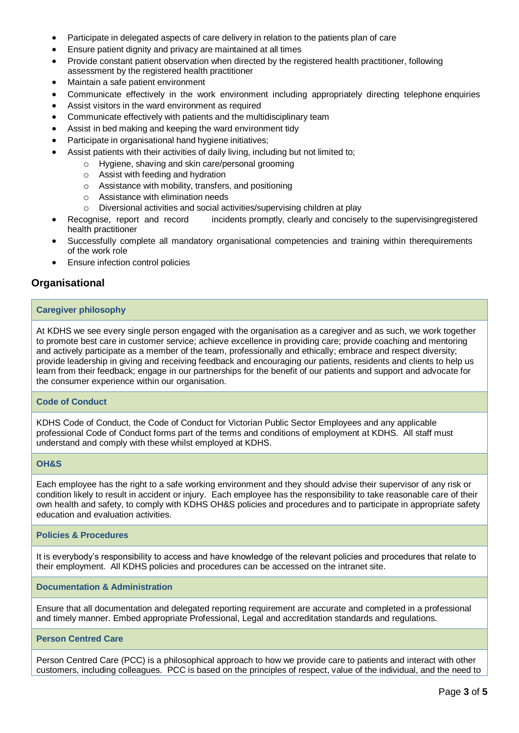- Participate in delegated aspects of care delivery in relation to the patients plan of care
- Ensure patient dignity and privacy are maintained at all times
- Provide constant patient observation when directed by the registered health practitioner, following assessment by the registered health practitioner
- Maintain a safe patient environment
- Communicate effectively in the work environment including appropriately directing telephone enquiries
- Assist visitors in the ward environment as required
- Communicate effectively with patients and the multidisciplinary team
- Assist in bed making and keeping the ward environment tidy
- Participate in organisational hand hygiene initiatives;
- Assist patients with their activities of daily living, including but not limited to;
	- o Hygiene, shaving and skin care/personal grooming
		- o Assist with feeding and hydration
		- o Assistance with mobility, transfers, and positioning
		- $\circ$  Assistance with elimination needs
		- o Diversional activities and social activities/supervising children at play
- Recognise, report and record incidents promptly, clearly and concisely to the supervisingregistered health practitioner
- Successfully complete all mandatory organisational competencies and training within therequirements of the work role
- Ensure infection control policies

# **Organisational**

## **Caregiver philosophy**

At KDHS we see every single person engaged with the organisation as a caregiver and as such, we work together to promote best care in customer service; achieve excellence in providing care; provide coaching and mentoring and actively participate as a member of the team, professionally and ethically; embrace and respect diversity; provide leadership in giving and receiving feedback and encouraging our patients, residents and clients to help us learn from their feedback; engage in our partnerships for the benefit of our patients and support and advocate for the consumer experience within our organisation.

## **Code of Conduct**

KDHS Code of Conduct, the Code of Conduct for Victorian Public Sector Employees and any applicable professional Code of Conduct forms part of the terms and conditions of employment at KDHS. All staff must understand and comply with these whilst employed at KDHS.

## **OH&S**

Each employee has the right to a safe working environment and they should advise their supervisor of any risk or condition likely to result in accident or injury. Each employee has the responsibility to take reasonable care of their own health and safety, to comply with KDHS OH&S policies and procedures and to participate in appropriate safety education and evaluation activities.

## **Policies & Procedures**

It is everybody's responsibility to access and have knowledge of the relevant policies and procedures that relate to their employment. All KDHS policies and procedures can be accessed on the intranet site.

### **Documentation & Administration**

Ensure that all documentation and delegated reporting requirement are accurate and completed in a professional and timely manner. Embed appropriate Professional, Legal and accreditation standards and regulations.

## **Person Centred Care**

Person Centred Care (PCC) is a philosophical approach to how we provide care to patients and interact with other customers, including colleagues. PCC is based on the principles of respect, value of the individual, and the need to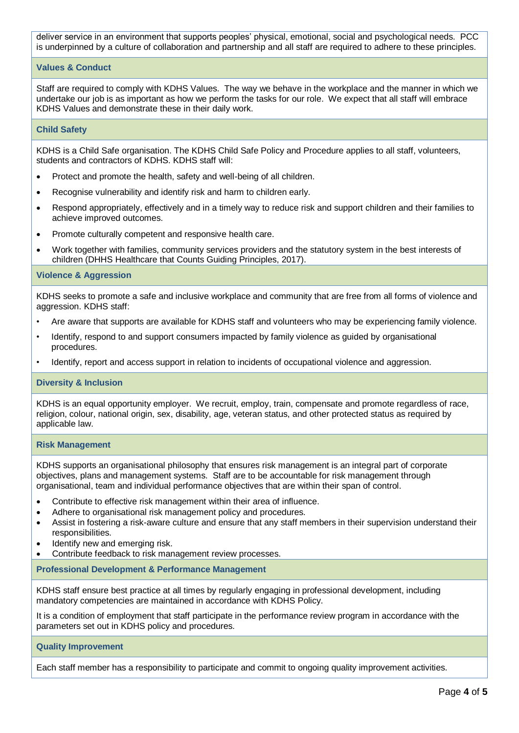deliver service in an environment that supports peoples' physical, emotional, social and psychological needs. PCC is underpinned by a culture of collaboration and partnership and all staff are required to adhere to these principles.

### **Values & Conduct**

Staff are required to comply with KDHS Values. The way we behave in the workplace and the manner in which we undertake our job is as important as how we perform the tasks for our role. We expect that all staff will embrace KDHS Values and demonstrate these in their daily work.

#### **Child Safety**

KDHS is a Child Safe organisation. The KDHS Child Safe Policy and Procedure applies to all staff, volunteers, students and contractors of KDHS. KDHS staff will:

- Protect and promote the health, safety and well-being of all children.
- Recognise vulnerability and identify risk and harm to children early.
- Respond appropriately, effectively and in a timely way to reduce risk and support children and their families to achieve improved outcomes.
- Promote culturally competent and responsive health care.
- Work together with families, community services providers and the statutory system in the best interests of children (DHHS Healthcare that Counts Guiding Principles, 2017).

### **Violence & Aggression**

KDHS seeks to promote a safe and inclusive workplace and community that are free from all forms of violence and aggression. KDHS staff:

- Are aware that supports are available for KDHS staff and volunteers who may be experiencing family violence.
- Identify, respond to and support consumers impacted by family violence as guided by organisational procedures.
- Identify, report and access support in relation to incidents of occupational violence and aggression.

### **Diversity & Inclusion**

KDHS is an equal opportunity employer. We recruit, employ, train, compensate and promote regardless of race, religion, colour, national origin, sex, disability, age, veteran status, and other protected status as required by applicable law.

### **Risk Management**

KDHS supports an organisational philosophy that ensures risk management is an integral part of corporate objectives, plans and management systems. Staff are to be accountable for risk management through organisational, team and individual performance objectives that are within their span of control.

- Contribute to effective risk management within their area of influence.
- Adhere to organisational risk management policy and procedures.
- Assist in fostering a risk-aware culture and ensure that any staff members in their supervision understand their responsibilities.
- Identify new and emerging risk.
- Contribute feedback to risk management review processes.

### **Professional Development & Performance Management**

KDHS staff ensure best practice at all times by regularly engaging in professional development, including mandatory competencies are maintained in accordance with KDHS Policy.

It is a condition of employment that staff participate in the performance review program in accordance with the parameters set out in KDHS policy and procedures.

### **Quality Improvement**

Each staff member has a responsibility to participate and commit to ongoing quality improvement activities.